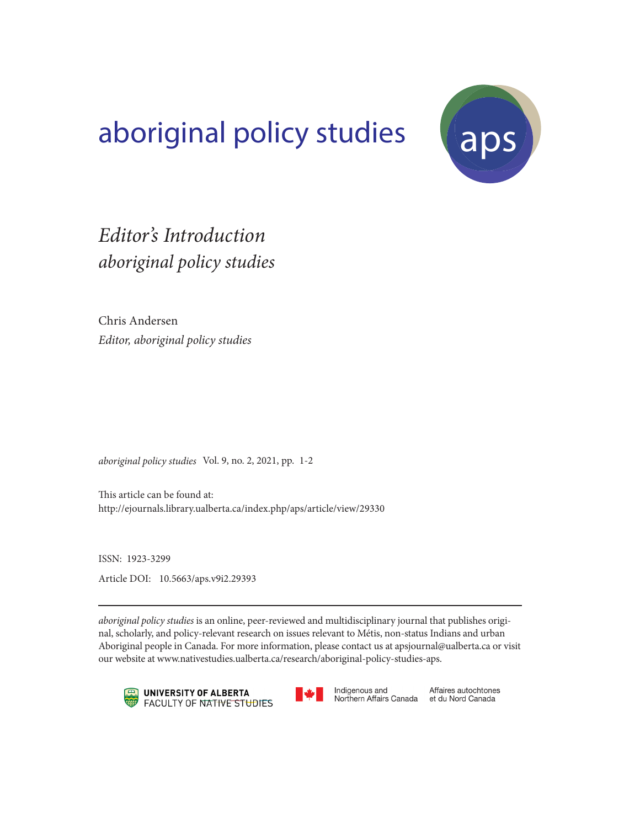## aboriginal policy studies (aps)



## *aboriginal policy studies Editor's Introduction*

Chris Andersen *Editor, aboriginal policy studies*

*aboriginal policy studies* Vol. 9, no. 2, 2021, pp. 1-2

This article can be found at: http://ejournals.library.ualberta.ca/index.php/aps/article/view/29330

ISSN: 1923-3299 Article DOI: 10.5663/aps.v9i2.29393

*aboriginal policy studies* is an online, peer-reviewed and multidisciplinary journal that publishes original, scholarly, and policy-relevant research on issues relevant to Métis, non-status Indians and urban Aboriginal people in Canada. For more information, please contact us at apsjournal@ualberta.ca or visit our website at www.nativestudies.ualberta.ca/research/aboriginal-policy-studies-aps.





Indigenous and Northern Affairs Canada

Affaires autochtones et du Nord Canada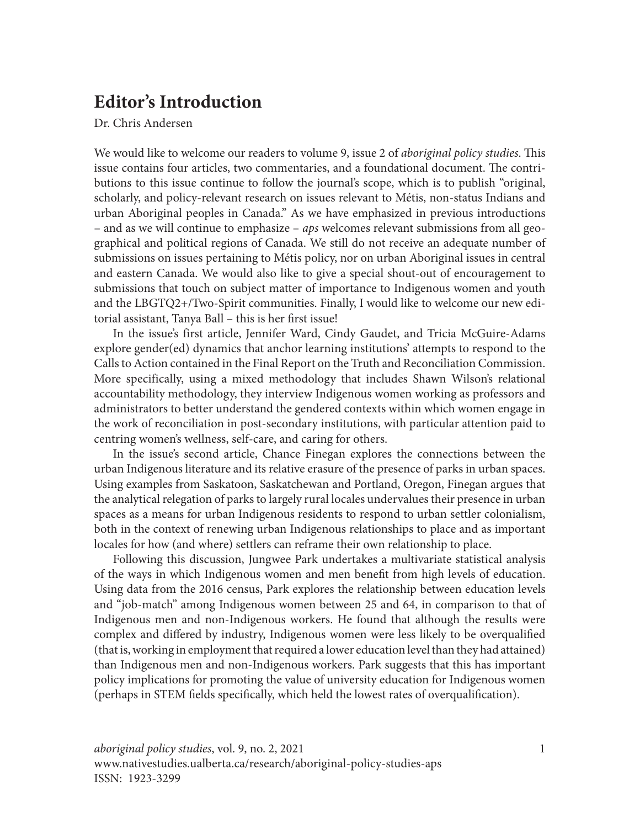## **Editor's Introduction**

Dr. Chris Andersen

We would like to welcome our readers to volume 9, issue 2 of *aboriginal policy studies*. This issue contains four articles, two commentaries, and a foundational document. The contributions to this issue continue to follow the journal's scope, which is to publish "original, scholarly, and policy-relevant research on issues relevant to Métis, non-status Indians and urban Aboriginal peoples in Canada." As we have emphasized in previous introductions – and as we will continue to emphasize – *aps* welcomes relevant submissions from all geographical and political regions of Canada. We still do not receive an adequate number of submissions on issues pertaining to Métis policy, nor on urban Aboriginal issues in central and eastern Canada. We would also like to give a special shout-out of encouragement to submissions that touch on subject matter of importance to Indigenous women and youth and the LBGTQ2+/Two-Spirit communities. Finally, I would like to welcome our new editorial assistant, Tanya Ball – this is her first issue!

In the issue's first article, Jennifer Ward, Cindy Gaudet, and Tricia McGuire-Adams explore gender(ed) dynamics that anchor learning institutions' attempts to respond to the Calls to Action contained in the Final Report on the Truth and Reconciliation Commission. More specifically, using a mixed methodology that includes Shawn Wilson's relational accountability methodology, they interview Indigenous women working as professors and administrators to better understand the gendered contexts within which women engage in the work of reconciliation in post-secondary institutions, with particular attention paid to centring women's wellness, self-care, and caring for others.

In the issue's second article, Chance Finegan explores the connections between the urban Indigenous literature and its relative erasure of the presence of parks in urban spaces. Using examples from Saskatoon, Saskatchewan and Portland, Oregon, Finegan argues that the analytical relegation of parks to largely rural locales undervalues their presence in urban spaces as a means for urban Indigenous residents to respond to urban settler colonialism, both in the context of renewing urban Indigenous relationships to place and as important locales for how (and where) settlers can reframe their own relationship to place.

Following this discussion, Jungwee Park undertakes a multivariate statistical analysis of the ways in which Indigenous women and men benefit from high levels of education. Using data from the 2016 census, Park explores the relationship between education levels and "job-match" among Indigenous women between 25 and 64, in comparison to that of Indigenous men and non-Indigenous workers. He found that although the results were complex and differed by industry, Indigenous women were less likely to be overqualified (that is, working in employment that required a lower education level than they had attained) than Indigenous men and non-Indigenous workers. Park suggests that this has important policy implications for promoting the value of university education for Indigenous women (perhaps in STEM fields specifically, which held the lowest rates of overqualification).